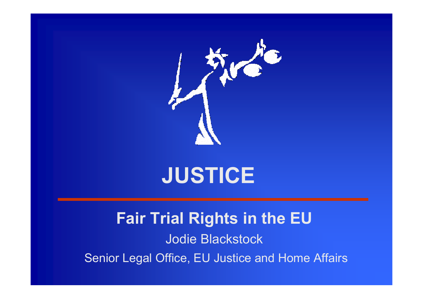

### **JUSTICE**

### **Fair Trial Rights in the EU** Jodie Blackstock Senior Legal Office, EU Justice and Home Affairs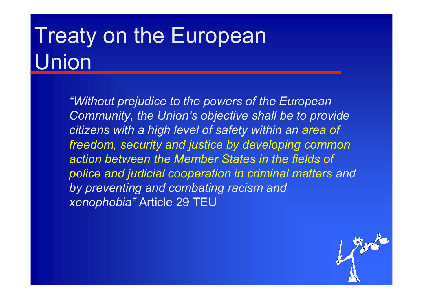# **Treaty on the European** Union

*"Without prejudice to the powers of the European Community, the Union's objective shall be to provide citizens with a high level of safety within an area of freedom, security and justice by developing common action between the Member States in the fields of police and judicial cooperation in criminal matters and by preventing and combating racism and xenophobia"* Article 29 TEU

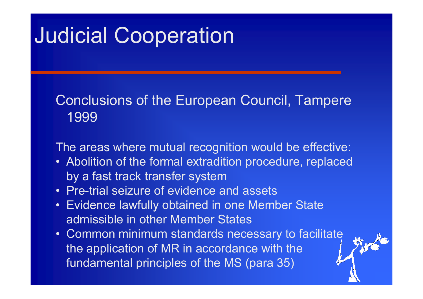### Judicial Cooperation

#### Conclusions of the European Council, Tampere 1999

The areas where mutual recognition would be effective:

- Abolition of the formal extradition procedure, replaced by a fast track transfer system
- Pre-trial seizure of evidence and assets
- Evidence lawfully obtained in one Member State admissible in other Member States
- Common minimum standards necessary to facilitate the application of MR in accordance with the fundamental principles of the MS (para 35)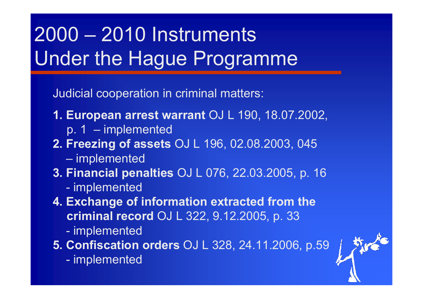## 2000 – 2010 Instruments Under the Hague Programme

Judicial cooperation in criminal matters:

- **1. European arrest warrant** OJ L 190, 18.07.2002,
	- p. 1 implemented
- **2. Freezing of assets** OJ L 196, 02.08.2003, 045
	- implemented
- **3. Financial penalties** OJ L 076, 22.03.2005, p. 16
	- implemented
- **4. Exchange of information extracted from the criminal record** OJ L 322, 9.12.2005, p. 33
	- implemented

**5. Confiscation orders** OJ L 328, 24.11.2006, p.59

implemented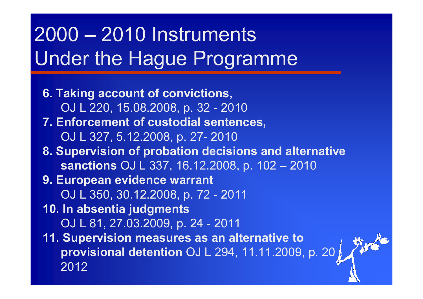## 2000 – 2010 Instruments Under the Hague Programme

**6. Taking account of convictions,**  OJ L 220, 15.08.2008, p. 32 - 2010 **7. Enforcement of custodial sentences,**  OJ L 327, 5.12.2008, p. 27- 2010 **8. Supervision of probation decisions and alternative sanctions** OJ L 337, 16.12.2008, p. 102 – 2010 **9. European evidence warrant**  OJ L 350, 30.12.2008, p. 72 - 2011 **10. In absentia judgments**  OJ L 81, 27.03.2009, p. 24 - 2011 **11. Supervision measures as an alternative to provisional detention** OJ L 294, 11.11.2009, p. 20 - 2012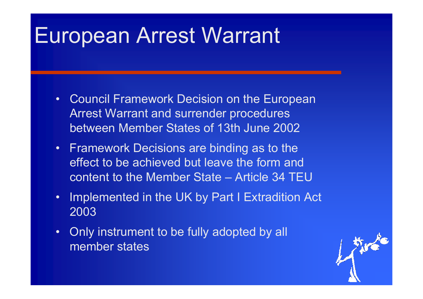### European Arrest Warrant

- • Council Framework Decision on the European Arrest Warrant and surrender procedures between Member States of 13th June 2002
- Framework Decisions are binding as to the effect to be achieved but leave the form and content to the Member State – Article 34 TEU
- • Implemented in the UK by Part I Extradition Act 2003
- • Only instrument to be fully adopted by all member states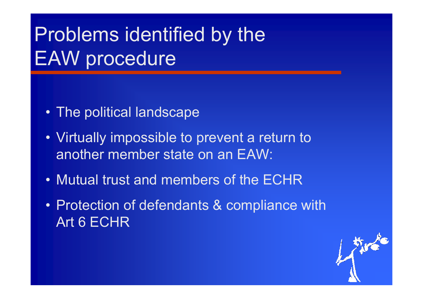### Problems identified by the **EAW** procedure

- The political landscape
- Virtually impossible to prevent a return to another member state on an EAW:
- Mutual trust and members of the ECHR
- Protection of defendants & compliance with Art 6 ECHR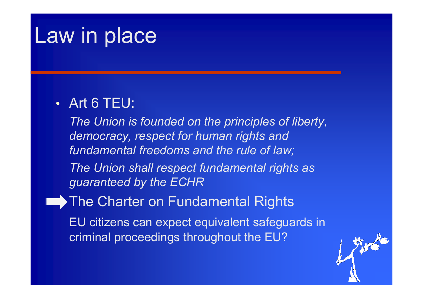### Law in place

#### • Art 6 TEU:

*The Union is founded on the principles of liberty, democracy, respect for human rights and fundamental freedoms and the rule of law;*

*The Union shall respect fundamental rights as guaranteed by the ECHR*

**▶ The Charter on Fundamental Rights** 

EU citizens can expect equivalent safeguards in criminal proceedings throughout the EU?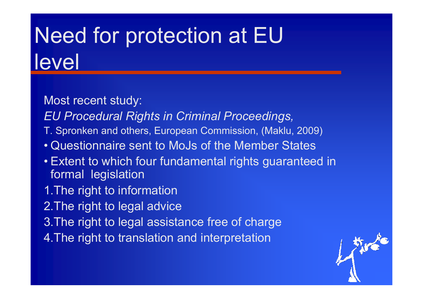# Need for protection at EU level

- Most recent study:
- *EU Procedural Rights in Criminal Proceedings,*
- T. Spronken and others, European Commission, (Maklu, 2009)
- Questionnaire sent to MoJs of the Member States
- Extent to which four fundamental rights guaranteed in formal legislation
- 1.The right to information
- 2.The right to legal advice
- 3.The right to legal assistance free of charge
- 4.The right to translation and interpretation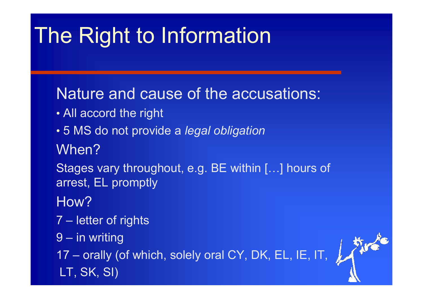# The Right to Information

### Nature and cause of the accusations:

- All accord the right
- 5 MS do not provide a *legal obligation* When?
- Stages vary throughout, e.g. BE within […] hours of arrest, EL promptly
- How?
- 7 letter of rights
- 9 in writing

17 – orally (of which, solely oral CY, DK, EL, IE, IT, LT, SK, SI)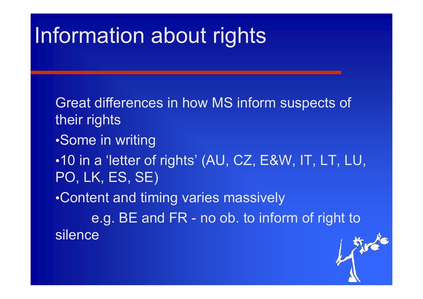## nformation about rights

Great differences in how MS inform suspects of their rights •Some in writing •10 in a 'letter of rights' (AU, CZ, E&W, IT, LT, LU, PO, LK, ES, SE) •Content and timing varies massively e.g. BE and FR - no ob. to inform of right to

silence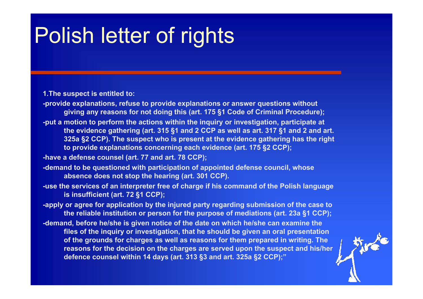## **Polish letter of rights**

**1.The suspect is entitled to:**

- **-provide explanations, refuse to provide explanations or answer questions without giving any reasons for not doing this (art. 175 §1 Code of Criminal Procedure);**
- **-put a motion to perform the actions within the inquiry or investigation, participate at the evidence gathering (art. 315 §1 and 2 CCP as well as art. 317 §1 and 2 and art. 325a §2 CCP). The suspect who is present at the evidence gathering has the right to provide explanations concerning each evidence (art. 175 §2 CCP);**
- **-have a defense counsel (art. 77 and art. 78 CCP);**
- **-demand to be questioned with participation of appointed defense council, whose absence does not stop the hearing (art. 301 CCP).**
- **-use the services of an interpreter free of charge if his command of the Polish language is insufficient (art. 72 §1 CCP);**

**-apply or agree for application by the injured party regarding submission of the case to the reliable institution or person for the purpose of mediations (art. 23a §1 CCP);**

**-demand, before he/she is given notice of the date on which he/she can examine the files of the inquiry or investigation, that he should be given an oral presentation of the grounds for charges as well as reasons for them prepared in writing. The reasons for the decision on the charges are served upon the suspect and his/her defence counsel within 14 days (art. 313 §3 and art. 325a §2 CCP);"**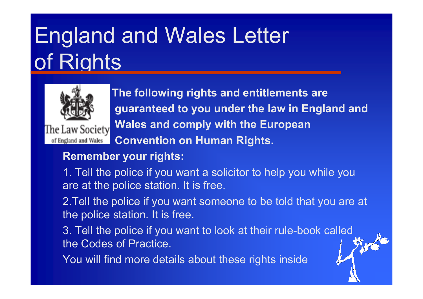# England and Wales Letter of Rights



The Law Society of England and Wales

**The following rights and entitlements are guaranteed to you under the law in England and Wales and comply with the European Convention on Human Rights.** 

#### **Remember your rights:**

1. Tell the police if you want a solicitor to help you while you are at the police station. It is free.

2.Tell the police if you want someone to be told that you are at the police station. It is free.

3. Tell the police if you want to look at their rule-book called the Codes of Practice.

You will find more details about these rights inside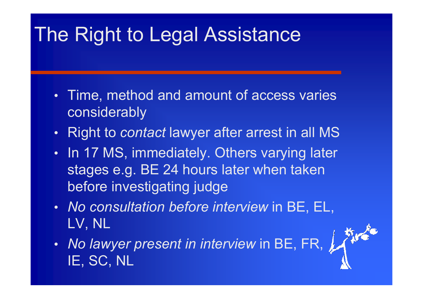### The Right to Legal Assistance

- • Time, method and amount of access varies considerably
- •Right to *contact* lawyer after arrest in all MS
- •• In 17 MS, immediately. Others varying later stages e.g. BE 24 hours later when taken before investigating judge
- *No consultation before interview* in BE, EL, LV, NL
- • *No lawyer present in interview* in BE, FR, IE, SC, NL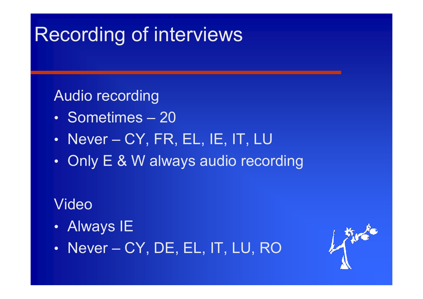### Recording of interviews

#### Audio recording

- Sometimes*–* 20
- Never *–*CY, FR, EL, IE, IT, LU
- •• Only E & W always audio recording

### Video

- •Always IE
- $\bullet$ • Never – CY, DE, EL, IT, LU, RO

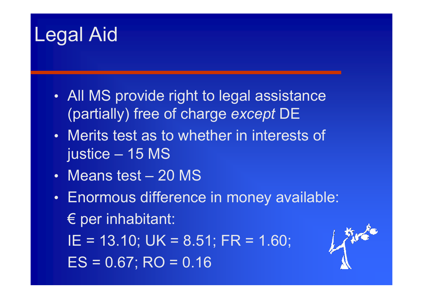### Legal Aid

- • All MS provide right to legal assistance (partially) free of charge *except* DE
- Merits test as to whether in interests of justice – 15 MS
- Means test 20 MS
- • Enormous difference in money available:  $\epsilon$  per inhabitant:
	- IE = 13.10; UK = 8.51; FR = 1.60;  $ES = 0.67$ ; RO = 0.16

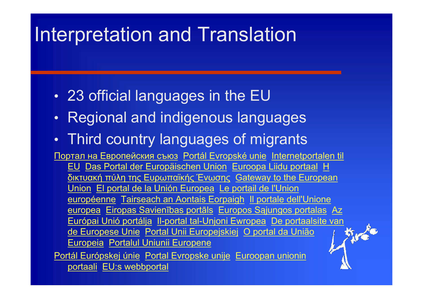### nterpretation and Translation

- •23 official languages in the EU
- •Regional and indigenous languages
- •Third country languages of migrants

Портал на Европейския съюз Portál Evropské unie Internetportalen til EU Das Portal der Europäischen Union Euroopa Liidu portaal Η δικτυακή πύλη της Ευρωπαϊκής Ένωσης Gateway to the European Union El portal de la Unión Europea Le portail de l'Union européenne Tairseach an Aontais Eorpaigh Il portale dell'Unione <u>europea</u> Eiropas Savienības portāls Europos Sąjungos portalas<sub>.</sub> Az Európai Unió portálja II-portal tal-Unjoni Ewropea De portaalsite van<br>de Europese Unie Portal Unii Europejskiej O portal da União<br>Europeia Portalul Uniunii Europene<br>tál Európeia (Portalul Uniunii Europene de Europese Unie Portal Unii Europejskiej O portal da União Europeia Portalul Uniunii Europene Portál Európskej únie Portal Evropske unije Euroopan unionin portaali EU:s webbportal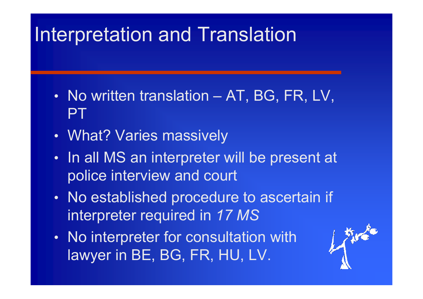### nterpretation and Translation

- •• No written translation – AT, BG, FR, LV, **PT**
- •What? Varies massively
- •• In all MS an interpreter will be present at police interview and court
- • No established procedure to ascertain if interpreter required in *17 MS*
- $\bullet$ • No interpreter for consultation with lawyer in BE, BG, FR, HU, LV.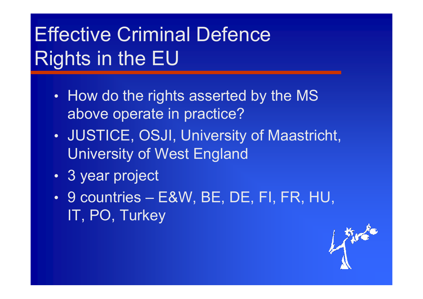## Effective Criminal Defence Rights in the EU

- •• How do the rights asserted by the MS above operate in practice?
- • JUSTICE, OSJI, University of Maastricht, University of West England
- •3 year project
- • 9 countries – E&W, BE, DE, FI, FR, HU, IT, PO, Turkey

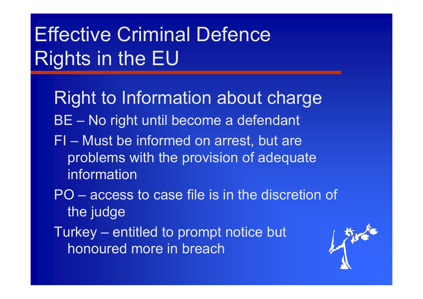## Effective Criminal Defence Rights in the EU

- Right to Information about charge BE – No right until become a defendant
- FI Must be informed on arrest, but are problems with the provision of adequate information
- PO access to case file is in the discretion of the judge
- Turkey entitled to prompt notice but honoured more in breach

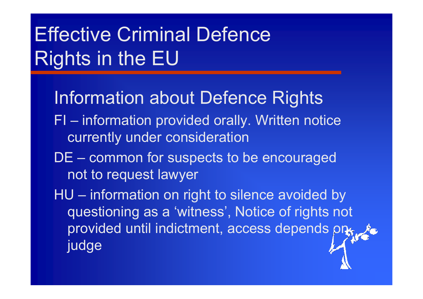## **Effective Criminal Defence** Rights in the EU

- Information about Defence Rights
- FI information provided orally. Written notice currently under consideration
- DE common for suspects to be encouraged not to request lawyer
- HU information on right to silence avoided by questioning as a 'witness', Notice of rights not provided until indictment, access depends on judge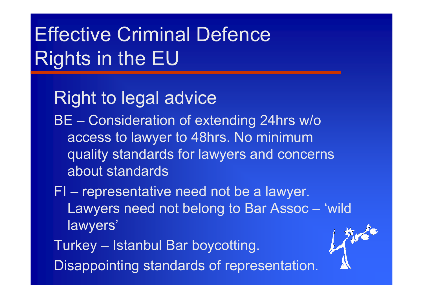## Effective Criminal Defence Rights in the EU

### Right to legal advice

BE – Consideration of extending 24hrs w/o access to lawyer to 48hrs. No minimum quality standards for lawyers and concerns about standards

FI – representative need not be a lawyer. Lawyers need not belong to Bar Assoc – 'wild lawyers'

Turkey – Istanbul Bar boycotting. Disappointing standards of representation.

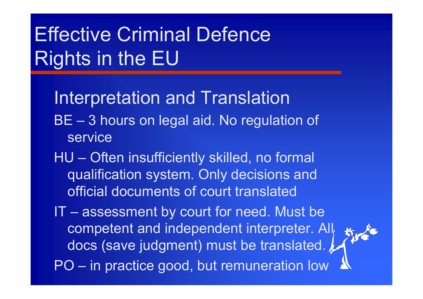### Effective Criminal Defence Rights in the EU

- Interpretation and Translation
- BE 3 hours on legal aid. No regulation of service
- HU Often insufficiently skilled, no formal qualification system. Only decisions and official documents of court translated
- IT assessment by court for need. Must be competent and independent interpreter. All docs (save judgment) must be translated. PO – in practice good, but remuneration low

外心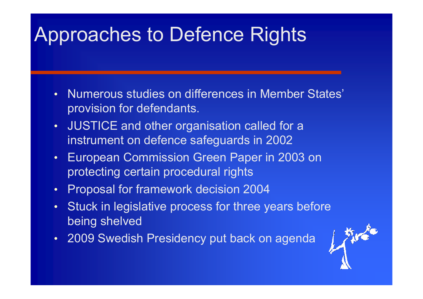### Approaches to Defence Rights

- • Numerous studies on differences in Member States' provision for defendants.
- $\bullet$  JUSTICE and other organisation called for a instrument on defence safeguards in 2002
- $\bullet$  European Commission Green Paper in 2003 on protecting certain procedural rights
- $\bullet$ Proposal for framework decision 2004
- $\bullet$  Stuck in legislative process for three years before being shelved
- 2009 Swedish Presidency put back on agenda

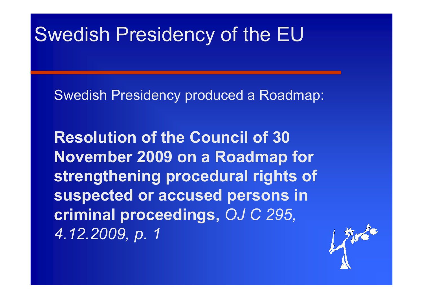### Swedish Presidency of the EU

Swedish Presidency produced a Roadmap:

**Resolution of the Council of 30 November 2009 on a Roadmap for strengthening procedural rights of suspected or accused persons in criminal proceedings,** *OJ C 295, 4.12.2009, p. 1*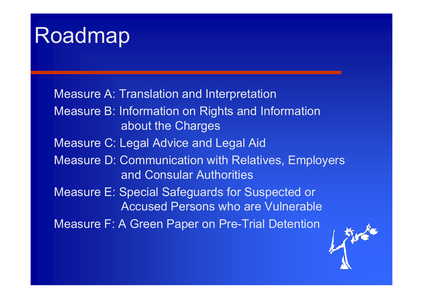## Roadmap

Measure A: Translation and Interpretation Measure B: Information on Rights and Information about the Charges Measure C: Legal Advice and Legal Aid Measure D: Communication with Relatives, Employers and Consular Authorities Measure E: Special Safeguards for Suspected or Accused Persons who are Vulnerable Measure F: A Green Paper on Pre-Trial Detention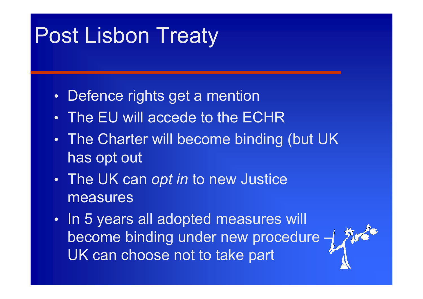## Post Lisbon Treaty

- •Defence rights get a mention
- The EU will accede to the ECHR
- • The Charter will become binding (but UK has opt out
- • The UK can *opt in* to new Justice measures
- $\bullet$ • In 5 years all adopted measures will become binding under new procedure  $-\frac{1}{2}$ UK can choose not to take part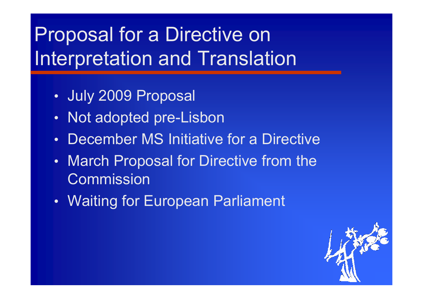### Proposal for a Directive on nterpretation and Translation

- •July 2009 Proposal
- •Not adopted pre-Lisbon
- •December MS Initiative for a Directive
- •• March Proposal for Directive from the Commission
- $\bullet$ Waiting for European Parliament